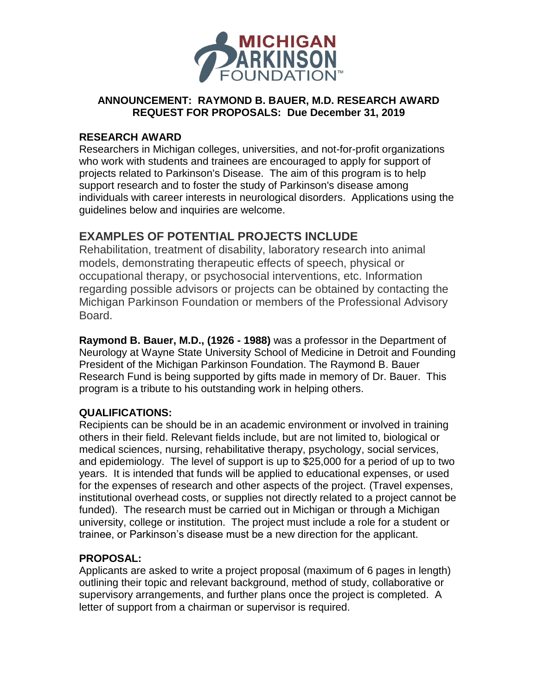

## **ANNOUNCEMENT: RAYMOND B. BAUER, M.D. RESEARCH AWARD REQUEST FOR PROPOSALS: Due December 31, 2019**

#### **RESEARCH AWARD**

Researchers in Michigan colleges, universities, and not-for-profit organizations who work with students and trainees are encouraged to apply for support of projects related to Parkinson's Disease. The aim of this program is to help support research and to foster the study of Parkinson's disease among individuals with career interests in neurological disorders. Applications using the guidelines below and inquiries are welcome.

# **EXAMPLES OF POTENTIAL PROJECTS INCLUDE**

Rehabilitation, treatment of disability, laboratory research into animal models, demonstrating therapeutic effects of speech, physical or occupational therapy, or psychosocial interventions, etc. Information regarding possible advisors or projects can be obtained by contacting the Michigan Parkinson Foundation or members of the Professional Advisory Board.

**Raymond B. Bauer, M.D., (1926 - 1988)** was a professor in the Department of Neurology at Wayne State University School of Medicine in Detroit and Founding President of the Michigan Parkinson Foundation. The Raymond B. Bauer Research Fund is being supported by gifts made in memory of Dr. Bauer. This program is a tribute to his outstanding work in helping others.

## **QUALIFICATIONS:**

Recipients can be should be in an academic environment or involved in training others in their field. Relevant fields include, but are not limited to, biological or medical sciences, nursing, rehabilitative therapy, psychology, social services, and epidemiology. The level of support is up to \$25,000 for a period of up to two years. It is intended that funds will be applied to educational expenses, or used for the expenses of research and other aspects of the project. (Travel expenses, institutional overhead costs, or supplies not directly related to a project cannot be funded). The research must be carried out in Michigan or through a Michigan university, college or institution. The project must include a role for a student or trainee, or Parkinson's disease must be a new direction for the applicant.

## **PROPOSAL:**

Applicants are asked to write a project proposal (maximum of 6 pages in length) outlining their topic and relevant background, method of study, collaborative or supervisory arrangements, and further plans once the project is completed. A letter of support from a chairman or supervisor is required.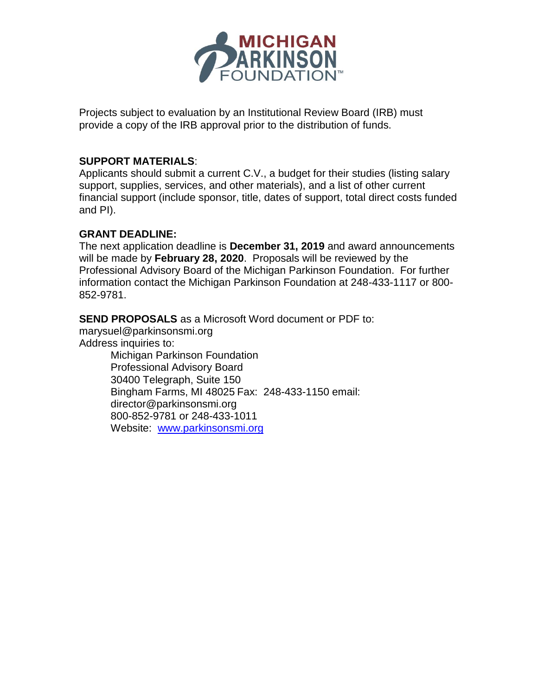

Projects subject to evaluation by an Institutional Review Board (IRB) must provide a copy of the IRB approval prior to the distribution of funds.

#### **SUPPORT MATERIALS**:

Applicants should submit a current C.V., a budget for their studies (listing salary support, supplies, services, and other materials), and a list of other current financial support (include sponsor, title, dates of support, total direct costs funded and PI).

#### **GRANT DEADLINE:**

The next application deadline is **December 31, 2019** and award announcements will be made by **February 28, 2020**. Proposals will be reviewed by the Professional Advisory Board of the Michigan Parkinson Foundation. For further information contact the Michigan Parkinson Foundation at 248-433-1117 or 800- 852-9781.

#### **SEND PROPOSALS** as a Microsoft Word document or PDF to:

marysuel@parkinsonsmi.org Address inquiries to: Michigan Parkinson Foundation Professional Advisory Board 30400 Telegraph, Suite 150 Bingham Farms, MI 48025 Fax: 248-433-1150 email: director@parkinsonsmi.org 800-852-9781 or 248-433-1011

Website: [www.parkinsonsmi.org](http://www.parkinsonsmi.org/)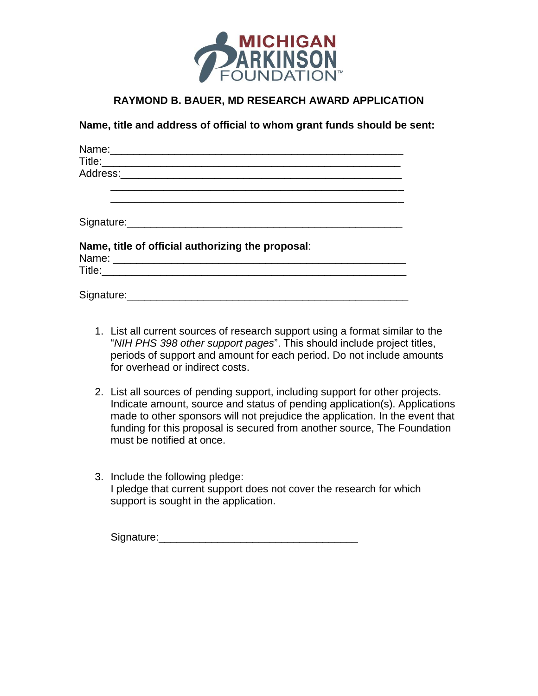

### **RAYMOND B. BAUER, MD RESEARCH AWARD APPLICATION**

**Name, title and address of official to whom grant funds should be sent:**

| Name, title of official authorizing the proposal: |  |
|---------------------------------------------------|--|
|                                                   |  |
|                                                   |  |

- 1. List all current sources of research support using a format similar to the "*NIH PHS 398 other support pages*". This should include project titles, periods of support and amount for each period. Do not include amounts for overhead or indirect costs.
- 2. List all sources of pending support, including support for other projects. Indicate amount, source and status of pending application(s). Applications made to other sponsors will not prejudice the application. In the event that funding for this proposal is secured from another source, The Foundation must be notified at once.
- 3. Include the following pledge: I pledge that current support does not cover the research for which support is sought in the application.

Signature:\_\_\_\_\_\_\_\_\_\_\_\_\_\_\_\_\_\_\_\_\_\_\_\_\_\_\_\_\_\_\_\_\_\_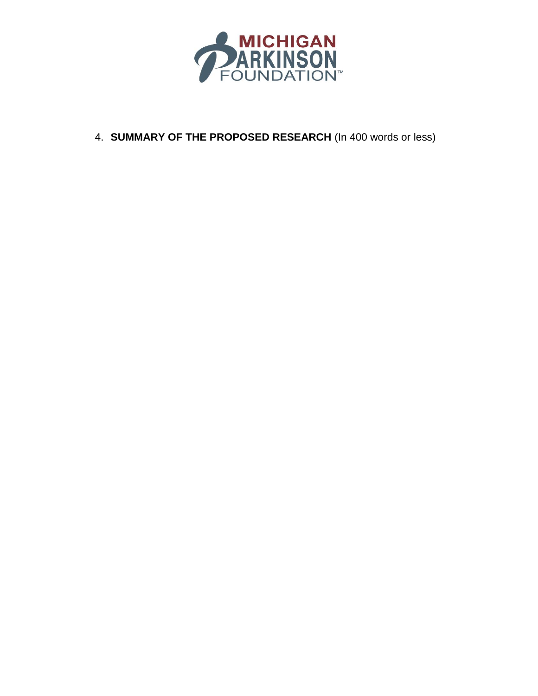

4. **SUMMARY OF THE PROPOSED RESEARCH** (In 400 words or less)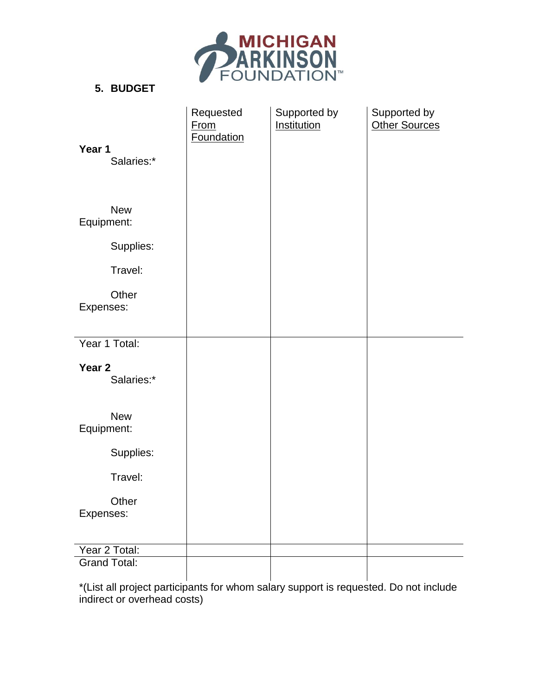

## **5. BUDGET**

| Year 1<br>Salaries:*            | Requested<br><b>From</b><br><b>Foundation</b> | Supported by<br>Institution | Supported by<br><b>Other Sources</b> |
|---------------------------------|-----------------------------------------------|-----------------------------|--------------------------------------|
| <b>New</b><br>Equipment:        |                                               |                             |                                      |
| Supplies:                       |                                               |                             |                                      |
| Travel:                         |                                               |                             |                                      |
| Other<br>Expenses:              |                                               |                             |                                      |
| Year 1 Total:                   |                                               |                             |                                      |
| Year <sub>2</sub><br>Salaries:* |                                               |                             |                                      |
| <b>New</b><br>Equipment:        |                                               |                             |                                      |
| Supplies:                       |                                               |                             |                                      |
| Travel:                         |                                               |                             |                                      |
| Other<br>Expenses:              |                                               |                             |                                      |
| Year 2 Total:                   |                                               |                             |                                      |
| <b>Grand Total:</b>             |                                               |                             |                                      |

\*(List all project participants for whom salary support is requested. Do not include indirect or overhead costs)